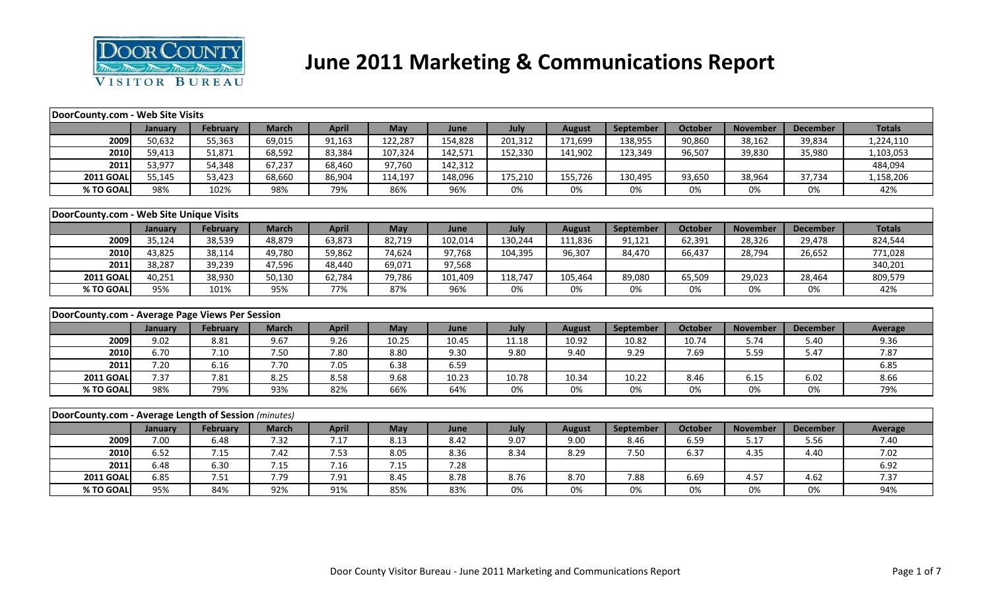

# **June 2011 Marketing & Communications Report**

| DoorCounty.com - Web Site Visits                     |                |                 |              |              |         |         |         |               |           |                |                 |                 |                |
|------------------------------------------------------|----------------|-----------------|--------------|--------------|---------|---------|---------|---------------|-----------|----------------|-----------------|-----------------|----------------|
|                                                      | January        | <b>February</b> | <b>March</b> | <b>April</b> | May     | June    | July    | <b>August</b> | September | <b>October</b> | <b>November</b> | <b>December</b> | <b>Totals</b>  |
| 2009                                                 | 50,632         | 55,363          | 69,015       | 91,163       | 122,287 | 154,828 | 201,312 | 171,699       | 138,955   | 90,860         | 38,162          | 39,834          | 1,224,110      |
| 2010                                                 | 59,413         | 51,871          | 68,592       | 83,384       | 107,324 | 142,571 | 152,330 | 141,902       | 123,349   | 96,507         | 39,830          | 35,980          | 1,103,053      |
| 2011                                                 | 53,977         | 54,348          | 67,237       | 68,460       | 97,760  | 142,312 |         |               |           |                |                 |                 | 484,094        |
| <b>2011 GOAL</b>                                     | 55,145         | 53,423          | 68,660       | 86,904       | 114,197 | 148,096 | 175,210 | 155,726       | 130,495   | 93,650         | 38,964          | 37,734          | 1,158,206      |
| % TO GOAL                                            | 98%            | 102%            | 98%          | 79%          | 86%     | 96%     | 0%      | 0%            | 0%        | 0%             | 0%              | 0%              | 42%            |
| DoorCounty.com - Web Site Unique Visits              |                |                 |              |              |         |         |         |               |           |                |                 |                 |                |
|                                                      | January        | <b>February</b> | <b>March</b> | <b>April</b> | May     | June    | July    | <b>August</b> | September | <b>October</b> | <b>November</b> | <b>December</b> | <b>Totals</b>  |
| 2009                                                 | 35,124         | 38,539          | 48,879       | 63,873       | 82,719  | 102,014 | 130,244 | 111,836       | 91,121    | 62,391         | 28,326          | 29,478          | 824,544        |
| 2010                                                 | 43,825         | 38,114          | 49,780       | 59,862       | 74,624  | 97,768  | 104,395 | 96,307        | 84,470    | 66,437         | 28,794          | 26,652          | 771,028        |
| 2011                                                 | 38,287         | 39,239          | 47,596       | 48,440       | 69,071  | 97,568  |         |               |           |                |                 |                 | 340,201        |
| <b>2011 GOAL</b>                                     | 40,251         | 38,930          | 50,130       | 62,784       | 79,786  | 101,409 | 118,747 | 105,464       | 89,080    | 65,509         | 29,023          | 28,464          | 809,579        |
| % TO GOAL                                            | 95%            | 101%            | 95%          | 77%          | 87%     | 96%     | 0%      | 0%            | 0%        | 0%             | 0%              | 0%              | 42%            |
| DoorCounty.com - Average Page Views Per Session      |                |                 |              |              |         |         |         |               |           |                |                 |                 |                |
|                                                      | January        | <b>February</b> | <b>March</b> | <b>April</b> | May     | June    | July    | <b>August</b> | September | <b>October</b> | <b>November</b> | <b>December</b> | <b>Average</b> |
| 2009                                                 | 9.02           | 8.81            | 9.67         | 9.26         | 10.25   | 10.45   | 11.18   | 10.92         | 10.82     | 10.74          | 5.74            | 5.40            | 9.36           |
| 2010                                                 | 6.70           | 7.10            | 7.50         | 7.80         | 8.80    | 9.30    | 9.80    | 9.40          | 9.29      | 7.69           | 5.59            | 5.47            | 7.87           |
| 2011                                                 | 7.20           | 6.16            | 7.70         | 7.05         | 6.38    | 6.59    |         |               |           |                |                 |                 | 6.85           |
| <b>2011 GOAL</b>                                     | 7.37           | 7.81            | 8.25         | 8.58         | 9.68    | 10.23   | 10.78   | 10.34         | 10.22     | 8.46           | 6.15            | 6.02            | 8.66           |
| % TO GOAL                                            | 98%            | 79%             | 93%          | 82%          | 66%     | 64%     | 0%      | 0%            | 0%        | 0%             | 0%              | 0%              | 79%            |
|                                                      |                |                 |              |              |         |         |         |               |           |                |                 |                 |                |
| DoorCounty.com - Average Length of Session (minutes) |                |                 |              |              |         |         |         |               |           |                |                 |                 |                |
|                                                      | <b>January</b> | February        | <b>March</b> | <b>April</b> | May     | June    | July    | <b>August</b> | September | October        | <b>November</b> | <b>December</b> | <b>Average</b> |
| 2009                                                 | 7.00           | 6.48            | 7.32         | 7.17         | 8.13    | 8.42    | 9.07    | 9.00          | 8.46      | 6.59           | 5.17            | 5.56            | 7.40           |
| 2010                                                 | 6.52           | 7.15            | 7.42         | 7.53         | 8.05    | 8.36    | 8.34    | 8.29          | 7.50      | 6.37           | 4.35            | 4.40            | 7.02           |
| 2011                                                 | 6.48           | 6.30            | 7.15         | 7.16         | 7.15    | 7.28    |         |               |           |                |                 |                 | 6.92           |
| <b>2011 GOAL</b>                                     | 6.85           | 7.51            | 7.79         | 7.91         | 8.45    | 8.78    | 8.76    | 8.70          | 7.88      | 6.69           | 4.57            | 4.62            | 7.37           |
| % TO GOAL                                            | 95%            | 84%             | 92%          | 91%          | 85%     | 83%     | 0%      | 0%            | 0%        | 0%             | 0%              | 0%              | 94%            |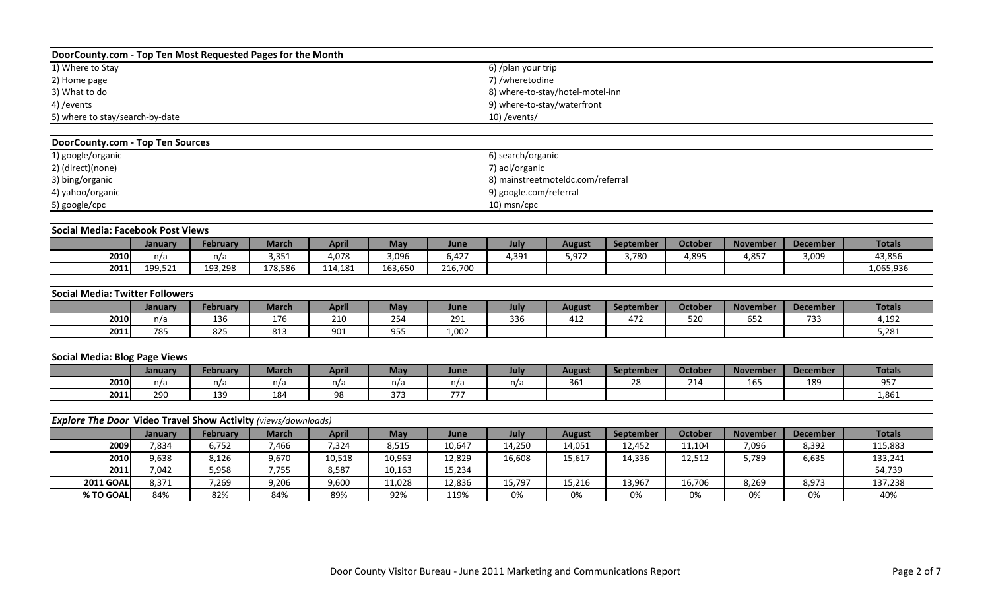| DoorCounty.com - Top Ten Most Requested Pages for the Month |                                  |  |
|-------------------------------------------------------------|----------------------------------|--|
| 1) Where to Stay                                            | 6) /plan your trip               |  |
| 2) Home page                                                | 7) /wheretodine                  |  |
| 3) What to do                                               | 8) where-to-stay/hotel-motel-inn |  |
| 4) /events                                                  | 9) where-to-stay/waterfront      |  |
| 5) where to stay/search-by-date                             | $10)$ /events/                   |  |
|                                                             |                                  |  |
| <b>IDOOrCOURTY COM - TON TAN SOURCAS</b>                    |                                  |  |

| DoorCounty.com - Top Ten Sources |                                   |
|----------------------------------|-----------------------------------|
| 1) google/organic                | 6) search/organic                 |
| 2) (direct)(none)                | 7) aol/organic                    |
| 3) bing/organic                  | 8) mainstreetmoteldc.com/referral |
| 4) yahoo/organic                 | 9) google.com/referral            |
| 5) google/cpc                    | 10) msn/cpc                       |

|      | Social Media: Facebook Post Views |          |                 |         |            |         |       |        |                  |                |                 |                 |               |  |
|------|-----------------------------------|----------|-----------------|---------|------------|---------|-------|--------|------------------|----------------|-----------------|-----------------|---------------|--|
|      | <b>January</b>                    | Februarv | March           | April   | <b>May</b> | June    | July  | August | <b>September</b> | <b>October</b> | <b>November</b> | <b>December</b> | <b>Totals</b> |  |
| 2010 | n/a                               | n/a      | $\cap$<br>3,351 | 4,078   | 3,096      | 6,427   | 1,391 | 5,972  | 3,780            | 4,895          | 4,857           | 3,009           | 43,856        |  |
| 2011 | 199521<br><b>LJJ,JZI</b>          | 193,298  | 178,586         | 114,181 | 163,650    | 216,700 |       |        |                  |                |                 |                 | 1,065,936     |  |

|      | Social Media: Twitter Followers |          |              |              |                     |       |      |               |           |                |                 |                 |               |  |  |
|------|---------------------------------|----------|--------------|--------------|---------------------|-------|------|---------------|-----------|----------------|-----------------|-----------------|---------------|--|--|
|      | January                         | February | <b>March</b> | <b>April</b> | <b>May</b>          | June  | July | <b>August</b> | September | <b>October</b> | <b>November</b> | <b>December</b> | <b>Totals</b> |  |  |
| 2010 | n/a                             | 136      | 176          | 210          | $\mathbf{a}$<br>254 | 291   | 336  | 412           | 472       | 52C            | 652             | 733             | 4,192         |  |  |
| 2011 | 785                             | 825      | 813          | 901          | 955                 | 1,002 |      |               |           |                |                 |                 | 5,281         |  |  |

| Social Media: Blog Page Views |        |          |        |       |            |                |      |                       |                  |                |                 |                 |               |
|-------------------------------|--------|----------|--------|-------|------------|----------------|------|-----------------------|------------------|----------------|-----------------|-----------------|---------------|
|                               | Januar | February | March/ | April | May        | June           | July | <b>August</b>         | <b>September</b> | <b>October</b> | <b>November</b> | <b>December</b> | <b>Totals</b> |
| 2010                          | n/a    | n/a      | n/a    | n/a   | n/a        | n/a            | n/a  | $\sim$ $\sim$<br>-361 | $\sim$<br>∕^     | 24.4<br>214    | 10T<br>16.      | 189             | 057<br>JJ 1   |
| 2011                          | 290    | 139      | 184    | 98    | . . -<br>. | $- - -$<br>, , |      |                       |                  |                |                 |                 | 1,861         |

|                  | <b>Explore The Door Video Travel Show Activity</b> (views/downloads) |                 |       |              |        |        |        |               |                  |                |                 |                 |               |  |
|------------------|----------------------------------------------------------------------|-----------------|-------|--------------|--------|--------|--------|---------------|------------------|----------------|-----------------|-----------------|---------------|--|
|                  | January                                                              | <b>February</b> | March | <b>April</b> | May    | June   | July   | <b>August</b> | <b>September</b> | <b>October</b> | <b>November</b> | <b>December</b> | <b>Totals</b> |  |
| 2009             | 7,834                                                                | 6,752           | 7,466 | 7,324        | 8,515  | 10,647 | 14,250 | 14,051        | 12,452           | 11,104         | 7,096           | 8,392           | 115,883       |  |
| 2010             | 9,638                                                                | 8,126           | 9,670 | 10,518       | 10,963 | 12,829 | 16,608 | 15,617        | 14,336           | 12,512         | 5,789           | 6,635           | 133,241       |  |
| 2011             | 7,042                                                                | 5,958           | 7,755 | 8,587        | 10,163 | 15,234 |        |               |                  |                |                 |                 | 54,739        |  |
| <b>2011 GOAL</b> | 8,371                                                                | 7,269           | 9,206 | 9,600        | 11,028 | 12,836 | 15,797 | 15,216        | 13,967           | 16,706         | 8,269           | 8,973           | 137,238       |  |
| % TO GOAL        | 84%                                                                  | 82%             | 84%   | 89%          | 92%    | 119%   | 0%     | 0%            | 0%               | 0%             | 0%              | 0%              | 40%           |  |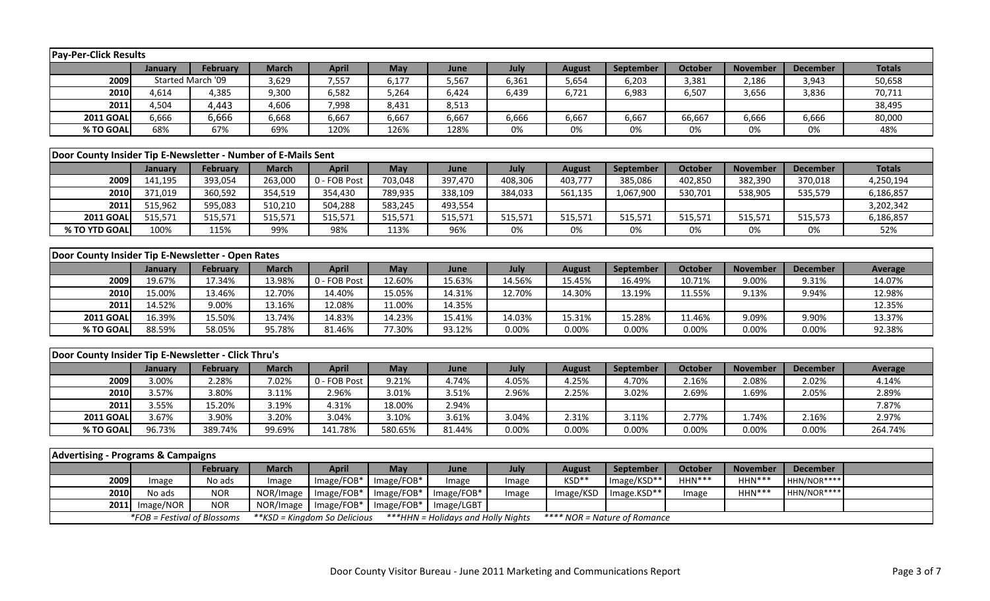| <b>Pay-Per-Click Results</b>                                  |                   |                      |                    |                            |                   |                     |                |                        |                          |                            |                           |                                 |                |
|---------------------------------------------------------------|-------------------|----------------------|--------------------|----------------------------|-------------------|---------------------|----------------|------------------------|--------------------------|----------------------------|---------------------------|---------------------------------|----------------|
|                                                               | January           | <b>February</b>      | <b>March</b>       | <b>April</b>               | May               | June                | July           | <b>August</b>          | September                | <b>October</b>             | <b>November</b>           | <b>December</b>                 | <b>Totals</b>  |
| 2009                                                          | Started March '09 |                      | 3,629              | 7,557                      | 6,177             | 5,567               | 6,361          | 5,654                  | 6,203                    | 3,381                      | 2,186                     | 3,943                           | 50,658         |
| 2010                                                          | 4,614             | 4,385                | 9,300              | 6,582                      | 5,264             | 6,424               | 6,439          | 6,721                  | 6,983                    | 6,507                      | 3,656                     | 3,836                           | 70,711         |
| 2011                                                          | 4,504             | 4,443                | 4,606              | 7,998                      | 8,431             | 8,513               |                |                        |                          |                            |                           |                                 | 38,495         |
| <b>2011 GOAL</b>                                              | 6,666             | 6,666                | 6,668              | 6,667                      | 6,667             | 6,667               | 6,666          | 6,667                  | 6,667                    | 66,667                     | 6,666                     | 6,666                           | 80,000         |
| % TO GOAL                                                     | 68%               | 67%                  | 69%                | 120%                       | 126%              | 128%                | 0%             | 0%                     | 0%                       | 0%                         | 0%                        | 0%                              | 48%            |
|                                                               |                   |                      |                    |                            |                   |                     |                |                        |                          |                            |                           |                                 |                |
| Door County Insider Tip E-Newsletter - Number of E-Mails Sent |                   |                      |                    |                            |                   |                     |                |                        |                          |                            |                           |                                 |                |
|                                                               | January           | <b>February</b>      | <b>March</b>       | <b>April</b>               | May               | June                | July           | <b>August</b>          | <b>September</b>         | <b>October</b>             | <b>November</b>           | <b>December</b>                 | <b>Totals</b>  |
| 2009                                                          | 141,195           | 393,054              | 263,000            | 0 - FOB Post               | 703,048           | 397,470             | 408,306        | 403,777                | 385,086                  | 402,850                    | 382,390                   | 370,018                         | 4,250,194      |
| 2010                                                          | 371,019           | 360,592              | 354,519            | 354,430                    | 789,935           | 338,109             | 384,033        | 561,135                | 1,067,900                | 530,701                    | 538,905                   | 535,579                         | 6,186,857      |
| 2011                                                          | 515,962           | 595,083              | 510,210            | 504,288                    | 583,245           | 493,554             |                |                        |                          |                            |                           |                                 | 3,202,342      |
| <b>2011 GOAL</b>                                              | 515,571           | 515,571              | 515,571            | 515,571                    | 515,571           | 515,571             | 515,571        | 515,571                | 515,571                  | 515,571                    | 515,571                   | 515,573                         | 6,186,857      |
| % TO YTD GOAL                                                 | 100%              | 115%                 | 99%                | 98%                        | 113%              | 96%                 | 0%             | 0%                     | 0%                       | 0%                         | 0%                        | 0%                              | 52%            |
| Door County Insider Tip E-Newsletter - Open Rates             |                   |                      |                    |                            |                   |                     |                |                        |                          |                            |                           |                                 |                |
|                                                               | January           | <b>February</b>      | <b>March</b>       | <b>April</b>               | May               | June                | July           | <b>August</b>          | <b>September</b>         | <b>October</b>             | <b>November</b>           | <b>December</b>                 | <b>Average</b> |
| 2009                                                          | 19.67%            | 17.34%               | 13.98%             | 0 - FOB Post               | 12.60%            | 15.63%              | 14.56%         | 15.45%                 | 16.49%                   | 10.71%                     | 9.00%                     | 9.31%                           | 14.07%         |
| 2010                                                          | 15.00%            | 13.46%               | 12.70%             | 14.40%                     | 15.05%            | 14.31%              | 12.70%         | 14.30%                 | 13.19%                   | 11.55%                     | 9.13%                     | 9.94%                           | 12.98%         |
| 2011                                                          | 14.52%            | 9.00%                | 13.16%             | 12.08%                     | 11.00%            | 14.35%              |                |                        |                          |                            |                           |                                 | 12.35%         |
| <b>2011 GOAL</b>                                              | 16.39%            | 15.50%               | 13.74%             | 14.83%                     | 14.23%            | 15.41%              | 14.03%         | 15.31%                 | 15.28%                   | 11.46%                     | 9.09%                     | 9.90%                           | 13.37%         |
| % TO GOAL                                                     | 88.59%            | 58.05%               | 95.78%             | 81.46%                     | 77.30%            | 93.12%              | 0.00%          | 0.00%                  | 0.00%                    | 0.00%                      | 0.00%                     | 0.00%                           | 92.38%         |
|                                                               |                   |                      |                    |                            |                   |                     |                |                        |                          |                            |                           |                                 |                |
| Door County Insider Tip E-Newsletter - Click Thru's           |                   |                      |                    |                            |                   |                     |                |                        |                          |                            |                           |                                 |                |
|                                                               | January           | February             | <b>March</b>       | <b>April</b>               | May               | June                | July           | <b>August</b>          | September                | <b>October</b>             | <b>November</b>           | <b>December</b>                 | <b>Average</b> |
| 2009                                                          | 3.00%             | 2.28%                | 7.02%              | 0 - FOB Post               | 9.21%             | 4.74%               | 4.05%          | 4.25%                  | 4.70%                    | 2.16%                      | 2.08%                     | 2.02%                           | 4.14%          |
| 2010                                                          | 3.57%             | 3.80%                | 3.11%              | 2.96%                      | 3.01%             | 3.51%               | 2.96%          | 2.25%                  | 3.02%                    | 2.69%                      | 1.69%                     | 2.05%                           | 2.89%          |
| 2011                                                          | 3.55%             | 15.20%               | 3.19%              | 4.31%                      | 18.00%            | 2.94%               |                |                        |                          |                            |                           |                                 | 7.87%          |
| <b>2011 GOAL</b>                                              | 3.67%             | 3.90%                | 3.20%              | 3.04%                      | 3.10%             | 3.61%               | 3.04%          | 2.31%                  | 3.11%                    | 2.77%                      | 1.74%                     | 2.16%                           | 2.97%          |
| % TO GOAL                                                     | 96.73%            | 389.74%              | 99.69%             | 141.78%                    | 580.65%           | 81.44%              | 0.00%          | 0.00%                  | 0.00%                    | 0.00%                      | 0.00%                     | 0.00%                           | 264.74%        |
|                                                               |                   |                      |                    |                            |                   |                     |                |                        |                          |                            |                           |                                 |                |
| <b>Advertising - Programs &amp; Campaigns</b>                 |                   |                      |                    |                            |                   |                     |                |                        |                          |                            |                           |                                 |                |
| 2009                                                          |                   | <b>February</b>      | <b>March</b>       | <b>April</b><br>Image/FOB* | May<br>Image/FOB* | June                | July           | <b>August</b><br>KSD** | September<br>Image/KSD** | <b>October</b><br>$HHN***$ | <b>November</b><br>HHN*** | <b>December</b><br>$HHN/NOR***$ |                |
| 2010                                                          | Image<br>No ads   | No ads<br><b>NOR</b> | Image<br>NOR/Image | Image/FOB*                 | Image/FOB*        | Image<br>Image/FOB* | Image<br>Image | Image/KSD              | Image.KSD**              | Image                      | HHN***                    | HHN/NOR****                     |                |
|                                                               | Image/NOR         | <b>NOR</b>           | NOR/Image          | Image/FOB*                 | Image/FOB*        | Image/LGBT          |                |                        |                          |                            |                           |                                 |                |
| 2011                                                          |                   |                      |                    |                            |                   |                     |                |                        |                          |                            |                           |                                 |                |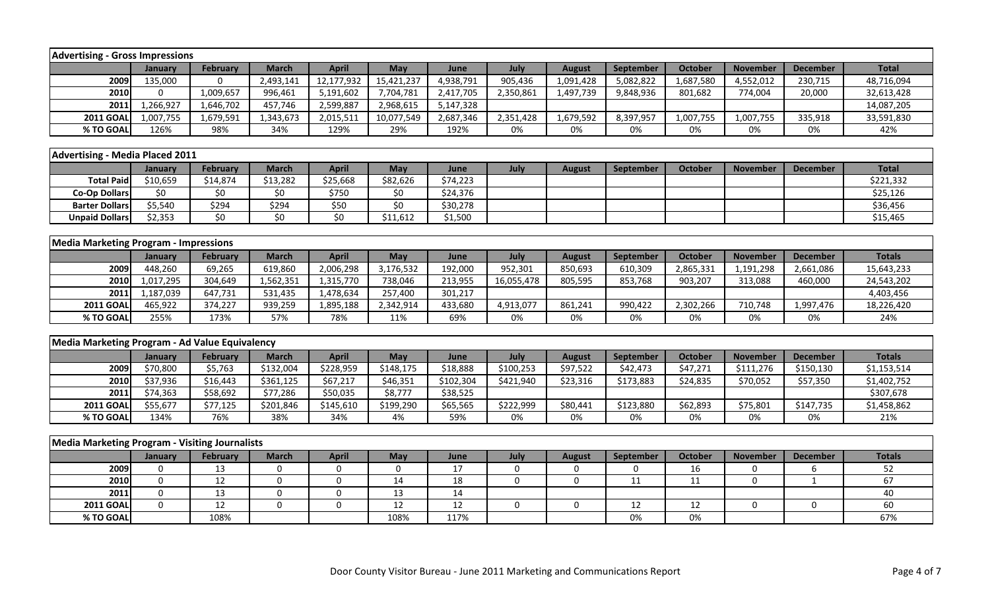| <b>Advertising - Gross Impressions</b>                |              |                 |              |                 |                    |           |             |               |                  |                |                 |                 |               |
|-------------------------------------------------------|--------------|-----------------|--------------|-----------------|--------------------|-----------|-------------|---------------|------------------|----------------|-----------------|-----------------|---------------|
|                                                       | January      | <b>February</b> | <b>March</b> | <b>April</b>    | May                | June      | July        | <b>August</b> | <b>September</b> | <b>October</b> | <b>November</b> | <b>December</b> | <b>Total</b>  |
| 2009                                                  | 135,000      | $\Omega$        | 2,493,141    | 12,177,932      | 15,421,237         | 4,938,791 | 905,436     | 1,091,428     | 5,082,822        | 1,687,580      | 4,552,012       | 230,715         | 48,716,094    |
| 2010                                                  | $\mathbf 0$  | 1,009,657       | 996,461      | 5,191,602       | 7,704,781          | 2,417,705 | 2,350,861   | 1,497,739     | 9,848,936        | 801,682        | 774,004         | 20,000          | 32,613,428    |
| 2011                                                  | 1,266,927    | 1,646,702       | 457,746      | 2,599,887       | 2,968,615          | 5,147,328 |             |               |                  |                |                 |                 | 14,087,205    |
| <b>2011 GOAL</b>                                      | 1,007,755    | 1,679,591       | 1,343,673    | 2,015,511       | 10,077,549         | 2,687,346 | 2,351,428   | 1,679,592     | 8,397,957        | 1,007,755      | 1,007,755       | 335,918         | 33,591,830    |
| % TO GOAL                                             | 126%         | 98%             | 34%          | 129%            | 29%                | 192%      | 0%          | 0%            | 0%               | 0%             | 0%              | 0%              | 42%           |
|                                                       |              |                 |              |                 |                    |           |             |               |                  |                |                 |                 |               |
| <b>Advertising - Media Placed 2011</b>                |              |                 |              |                 |                    |           |             |               |                  |                |                 |                 |               |
|                                                       | January      | <b>February</b> | <b>March</b> | <b>April</b>    | May                | June      | July        | <b>August</b> | September        | <b>October</b> | <b>November</b> | <b>December</b> | <b>Total</b>  |
| <b>Total Paid</b>                                     | \$10,659     | \$14,874        | \$13,282     | \$25,668        | \$82,626           | \$74,223  |             |               |                  |                |                 |                 | \$221,332     |
| <b>Co-Op Dollars</b>                                  | \$0          | \$0             | \$0          | \$750           | \$0                | \$24,376  |             |               |                  |                |                 |                 | \$25,126      |
| <b>Barter Dollars</b>                                 | \$5,540      | \$294           | \$294        | \$50            | $\overline{\xi_0}$ | \$30,278  |             |               |                  |                |                 |                 | \$36,456      |
| <b>Unpaid Dollars</b>                                 | \$2,353      | \$0             | \$0          | $\overline{50}$ | \$11,612           | \$1,500   |             |               |                  |                |                 |                 | \$15,465      |
|                                                       |              |                 |              |                 |                    |           |             |               |                  |                |                 |                 |               |
| <b>Media Marketing Program - Impressions</b>          |              |                 |              |                 |                    |           |             |               |                  |                |                 |                 |               |
|                                                       | January      | February        | <b>March</b> | <b>April</b>    | May                | June      | July        | <b>August</b> | September        | <b>October</b> | <b>November</b> | <b>December</b> | <b>Totals</b> |
| 2009                                                  | 448,260      | 69,265          | 619,860      | 2,006,298       | 3,176,532          | 192,000   | 952,301     | 850,693       | 610,309          | 2,865,331      | 1,191,298       | 2,661,086       | 15,643,233    |
| 2010                                                  | 1,017,295    | 304,649         | 1,562,351    | 1,315,770       | 738,046            | 213,955   | 16,055,478  | 805,595       | 853,768          | 903,207        | 313,088         | 460,000         | 24,543,202    |
| 2011                                                  | 1,187,039    | 647,731         | 531,435      | 1,478,634       | 257,400            | 301,217   |             |               |                  |                |                 |                 | 4,403,456     |
| <b>2011 GOAL</b>                                      | 465,922      | 374,227         | 939,259      | 1,895,188       | 2,342,914          | 433,680   | 4,913,077   | 861,241       | 990,422          | 2,302,266      | 710,748         | 1,997,476       | 18,226,420    |
| % TO GOAL                                             | 255%         | 173%            | 57%          | 78%             | 11%                | 69%       | 0%          | 0%            | 0%               | 0%             | 0%              | 0%              | 24%           |
|                                                       |              |                 |              |                 |                    |           |             |               |                  |                |                 |                 |               |
| Media Marketing Program - Ad Value Equivalency        |              |                 |              |                 |                    |           |             |               |                  |                |                 |                 |               |
|                                                       | January      | <b>February</b> | <b>March</b> | <b>April</b>    | May                | June      | July        | <b>August</b> | September        | <b>October</b> | <b>November</b> | <b>December</b> | <b>Totals</b> |
| 2009                                                  | \$70,800     | \$5,763         | \$132,004    | \$228,959       | \$148,175          | \$18,888  | \$100,253   | \$97,522      | \$42,473         | \$47,271       | \$111,276       | \$150,130       | \$1,153,514   |
| 2010                                                  | \$37,936     | \$16,443        | \$361,125    | \$67,217        | \$46,351           | \$102,304 | \$421,940   | \$23,316      | \$173,883        | \$24,835       | \$70,052        | \$57,350        | \$1,402,752   |
| 2011                                                  | \$74,363     | \$58,692        | \$77,286     | \$50,035        | \$8,777            | \$38,525  |             |               |                  |                |                 |                 | \$307,678     |
| <b>2011 GOAL</b>                                      | \$55,677     | \$77,125        | \$201,846    | \$145,610       | \$199,290          | \$65,565  | \$222,999   | \$80,441      | \$123,880        | \$62,893       | \$75,801        | \$147,735       | \$1,458,862   |
| % TO GOAL                                             | 134%         | 76%             | 38%          | 34%             | 4%                 | 59%       | 0%          | 0%            | 0%               | 0%             | 0%              | 0%              | 21%           |
|                                                       |              |                 |              |                 |                    |           |             |               |                  |                |                 |                 |               |
| <b>Media Marketing Program - Visiting Journalists</b> |              |                 |              |                 |                    |           |             |               |                  |                |                 |                 |               |
|                                                       | January      | <b>February</b> | <b>March</b> | <b>April</b>    | <b>May</b>         | June      | July        | <b>August</b> | September        | October        | <b>November</b> | <b>December</b> | <b>Totals</b> |
| 2009                                                  | $\mathbf 0$  | 13              | $\mathbf 0$  | 0               | $\mathbf 0$        | 17        | $\mathbf 0$ | 0             | 0                | 16             | 0               | 6               | 52            |
| 2010                                                  | $\mathbf 0$  | 12              | $\mathbf 0$  | 0               | 14                 | 18        | $\mathbf 0$ | $\mathbf 0$   | 11               | 11             | $\pmb{0}$       | $\mathbf{1}$    | 67            |
| 2011                                                  | $\mathbf 0$  | 13              | $\mathbf 0$  | 0               | 13                 | 14        |             |               |                  |                |                 |                 | 40            |
| <b>2011 GOAL</b>                                      | $\mathbf{0}$ | 12              | $\mathbf 0$  | $\mathbf 0$     | 12                 | 12        | $\mathbf 0$ | $\mathbf 0$   | 12               | 12             | 0               | $\pmb{0}$       | 60            |
| % TO GOAL                                             |              | 108%            |              |                 | 108%               | 117%      |             |               | 0%               | 0%             |                 |                 | 67%           |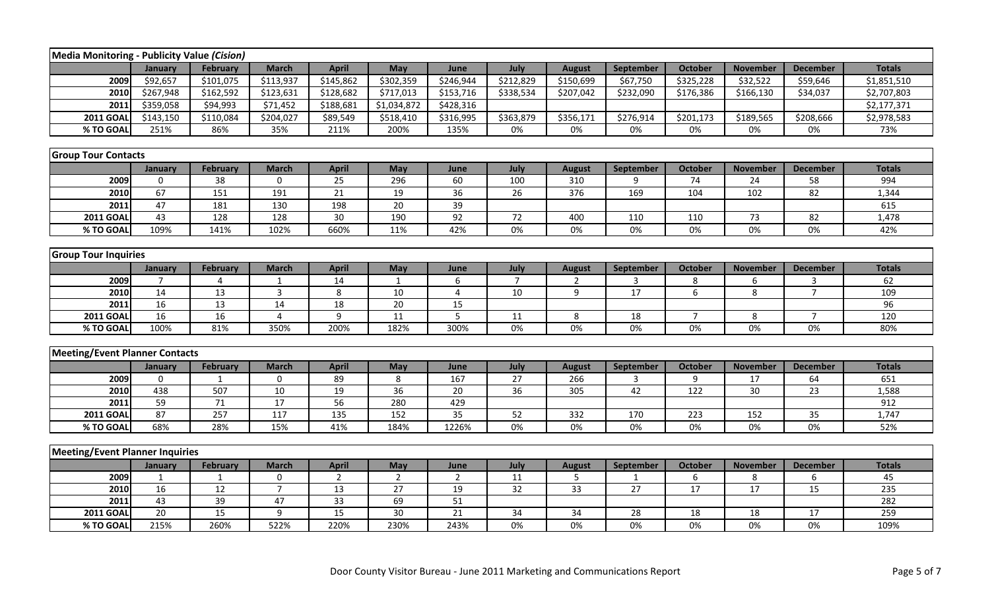| Media Monitoring - Publicity Value (Cision) |                 |                 |                |                 |                |                 |                 |                |                  |                |                 |                 |               |
|---------------------------------------------|-----------------|-----------------|----------------|-----------------|----------------|-----------------|-----------------|----------------|------------------|----------------|-----------------|-----------------|---------------|
|                                             | January         | <b>February</b> | <b>March</b>   | <b>April</b>    | May            | June            | July            | <b>August</b>  | September        | <b>October</b> | <b>November</b> | <b>December</b> | <b>Totals</b> |
| 2009                                        | \$92,657        | \$101,075       | \$113,937      | \$145,862       | \$302,359      | \$246,944       | \$212,829       | \$150,699      | \$67,750         | \$325,228      | \$32,522        | \$59,646        | \$1,851,510   |
| 2010                                        | \$267,948       | \$162,592       | \$123,631      | \$128,682       | \$717,013      | \$153,716       | \$338,534       | \$207,042      | \$232,090        | \$176,386      | \$166,130       | \$34,037        | \$2,707,803   |
| 2011                                        | \$359,058       | \$94,993        | \$71,452       | \$188,681       | \$1,034,872    | \$428,316       |                 |                |                  |                |                 |                 | \$2,177,371   |
| <b>2011 GOAL</b>                            | \$143,150       | \$110,084       | \$204,027      | \$89,549        | \$518,410      | \$316,995       | \$363,879       | \$356,171      | \$276,914        | \$201,173      | \$189,565       | \$208,666       | \$2,978,583   |
| % TO GOAL                                   | 251%            | 86%             | 35%            | 211%            | 200%           | 135%            | 0%              | 0%             | 0%               | 0%             | 0%              | 0%              | 73%           |
|                                             |                 |                 |                |                 |                |                 |                 |                |                  |                |                 |                 |               |
| <b>Group Tour Contacts</b>                  |                 |                 |                |                 |                |                 |                 |                |                  |                |                 |                 |               |
|                                             | January         | <b>February</b> | <b>March</b>   | <b>April</b>    | May            | June            | July            | <b>August</b>  | September        | October        | <b>November</b> | <b>December</b> | <b>Totals</b> |
| 2009                                        | $\mathbf 0$     | 38              | 0              | 25              | 296            | 60              | 100             | 310            | 9                | 74             | 24              | 58              | 994           |
| 2010                                        | 67              | 151             | 191            | 21              | 19             | 36              | 26              | 376            | 169              | 104            | 102             | 82              | 1,344         |
| 2011                                        | 47              | 181             | 130            | 198             | 20             | 39              |                 |                |                  |                |                 |                 | 615           |
| <b>2011 GOAL</b>                            | 43              | 128             | 128            | 30              | 190            | $\overline{92}$ | 72              | 400            | 110              | 110            | 73              | 82              | 1,478         |
| % TO GOAL                                   | 109%            | 141%            | 102%           | 660%            | 11%            | 42%             | 0%              | 0%             | 0%               | 0%             | 0%              | 0%              | 42%           |
|                                             |                 |                 |                |                 |                |                 |                 |                |                  |                |                 |                 |               |
| <b>Group Tour Inquiries</b>                 |                 |                 |                |                 |                |                 |                 |                |                  |                |                 |                 |               |
|                                             | January         | <b>February</b> | <b>March</b>   | <b>April</b>    | May            | June            | July            | <b>August</b>  | September        | <b>October</b> | <b>November</b> | <b>December</b> | <b>Totals</b> |
| 2009                                        | 7               | 4               | -1             | 14              | -1             | 6               | $\overline{7}$  | $\overline{2}$ | 3                | 8              | 6               | 3               | 62            |
| 2010                                        | 14              | 13              | $\overline{3}$ | 8               | 10             | $\overline{4}$  | $\overline{10}$ | $\overline{9}$ | $\overline{17}$  | $6\phantom{a}$ | 8               | $\overline{7}$  | 109           |
| 2011                                        | 16              | 13              | 14             | 18              | 20             | 15              |                 |                |                  |                |                 |                 | 96            |
| <b>2011 GOAL</b>                            | 16              | 16              | $\overline{4}$ | 9               | 11             | 5               | 11              | 8              | 18               | $\overline{7}$ | 8               | $\overline{7}$  | 120           |
| % TO GOAL                                   | 100%            | 81%             | 350%           | 200%            | 182%           | 300%            | 0%              | 0%             | 0%               | 0%             | 0%              | 0%              | 80%           |
|                                             |                 |                 |                |                 |                |                 |                 |                |                  |                |                 |                 |               |
| <b>Meeting/Event Planner Contacts</b>       |                 |                 |                |                 |                |                 |                 |                |                  |                |                 |                 |               |
|                                             | January         | <b>February</b> | <b>March</b>   | <b>April</b>    | May            | June            | July            | <b>August</b>  | <b>September</b> | October        | <b>November</b> | <b>December</b> | <b>Totals</b> |
| 2009                                        | $\Omega$        | 1               | 0              | 89              | 8              | 167             | 27              | 266            | 3                | 9              | 17              | 64              | 651           |
| 2010                                        | 438             | 507             | $10\,$         | 19              | 36             | 20              | 36              | 305            | 42               | 122            | 30              | 23              | 1,588         |
| 2011                                        | 59              | 71              | 17             | 56              | 280            | 429             |                 |                |                  |                |                 |                 | 912           |
| <b>2011 GOAL</b>                            | 87              | 257             | 117            | 135             | 152            | $\overline{35}$ | 52              | 332            | 170              | 223            | 152             | 35              | 1,747         |
| % TO GOAL                                   | 68%             | 28%             | 15%            | 41%             | 184%           | 1226%           | 0%              | $0\%$          | $0\%$            | 0%             | 0%              | 0%              | 52%           |
|                                             |                 |                 |                |                 |                |                 |                 |                |                  |                |                 |                 |               |
| <b>Meeting/Event Planner Inquiries</b>      |                 |                 |                |                 |                |                 |                 |                |                  |                |                 |                 |               |
|                                             | January         | February        | <b>March</b>   | <b>April</b>    | May            | June            | July            | <b>August</b>  | <b>September</b> | October        | <b>November</b> | <b>December</b> | <b>Totals</b> |
| 2009                                        | $\mathbf{1}$    | $\mathbf{1}$    | $\mathbf 0$    | $\overline{2}$  | $\overline{2}$ | $\overline{2}$  | 11              | 5              | $\mathbf{1}$     | 6              | 8               | 6               | 45            |
| 2010                                        | 16              | 12              | $\overline{7}$ | 13              | 27             | 19              | 32              | 33             | 27               | 17             | 17              | 15              | 235           |
| 2011                                        | 43              | $\overline{39}$ | 47             | $\overline{33}$ | 69             | 51              |                 |                |                  |                |                 |                 | 282           |
| <b>2011 GOAL</b>                            | $\overline{20}$ | 15              | 9              | 15              | 30             | $\overline{21}$ | 34              | 34             | 28               | 18             | 18              | 17              | 259           |
| % TO GOAL                                   | 215%            | 260%            | 522%           | 220%            | 230%           | 243%            | 0%              | 0%             | 0%               | 0%             | 0%              | 0%              | 109%          |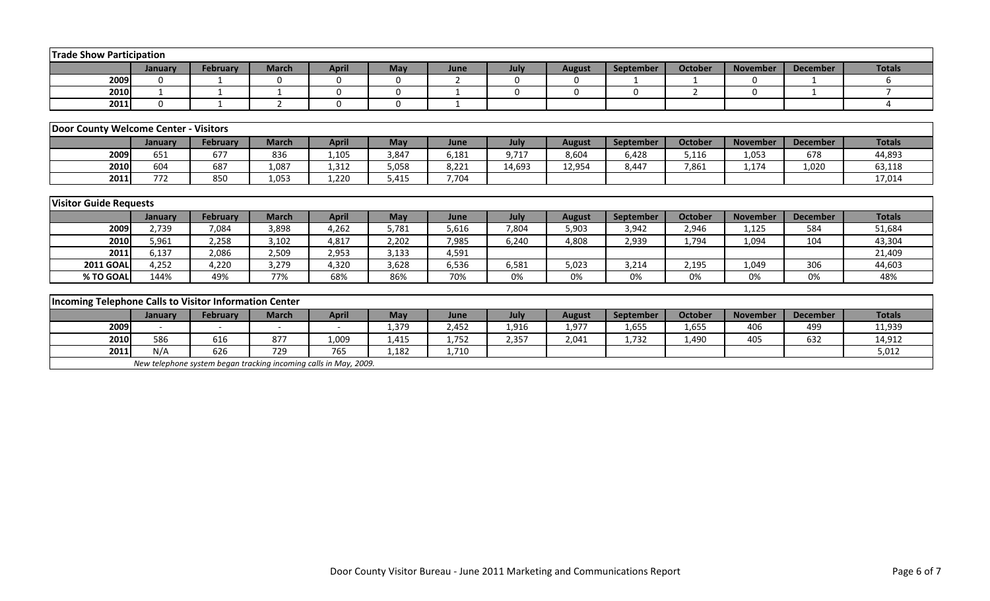| <b>Trade Show Participation</b>                        |              |                 |                |              |             |                |              |               |                  |                |                 |                 |                          |  |
|--------------------------------------------------------|--------------|-----------------|----------------|--------------|-------------|----------------|--------------|---------------|------------------|----------------|-----------------|-----------------|--------------------------|--|
|                                                        | January      | <b>February</b> | <b>March</b>   | <b>April</b> | May         | June           | July         | <b>August</b> | September        | <b>October</b> | <b>November</b> | <b>December</b> | <b>Totals</b>            |  |
| 2009                                                   | $\mathbf{0}$ |                 | $\Omega$       | $\Omega$     | $\mathbf 0$ | $\overline{2}$ | $\mathbf{0}$ | 0             |                  |                | $\Omega$        |                 | 6                        |  |
| 2010                                                   | $\mathbf{1}$ |                 |                | $\mathbf 0$  | $\mathbf 0$ |                | $\Omega$     | $\mathbf 0$   | $\Omega$         | $\overline{2}$ | $\Omega$        | $\mathbf{1}$    | $\overline{\phantom{a}}$ |  |
| 2011                                                   | $\Omega$     |                 | $\overline{2}$ | $\mathbf 0$  | $\Omega$    |                |              |               |                  |                |                 |                 | 4                        |  |
|                                                        |              |                 |                |              |             |                |              |               |                  |                |                 |                 |                          |  |
| Door County Welcome Center - Visitors                  |              |                 |                |              |             |                |              |               |                  |                |                 |                 |                          |  |
|                                                        | January      | February        | <b>March</b>   | <b>April</b> | May         | June           | July         | <b>August</b> | September        | <b>October</b> | <b>November</b> | <b>December</b> | <b>Totals</b>            |  |
| 2009                                                   | 651          | 677             | 836            | 1,105        | 3,847       | 6,181          | 9,717        | 8,604         | 6,428            | 5,116          | 1,053           | 678             | 44,893                   |  |
| 2010                                                   | 604          | 687             | 1,087          | 1,312        | 5,058       | 8,221          | 14,693       | 12,954        | 8,447            | 7,861          | 1,174           | 1,020           | 63,118                   |  |
| 2011                                                   | 772          | 850             | 1,053          | 1,220        | 5,415       | 7,704          |              |               |                  |                |                 |                 | 17,014                   |  |
|                                                        |              |                 |                |              |             |                |              |               |                  |                |                 |                 |                          |  |
| <b>Visitor Guide Requests</b>                          |              |                 |                |              |             |                |              |               |                  |                |                 |                 |                          |  |
|                                                        | January      | <b>February</b> | <b>March</b>   | <b>April</b> | May         | June           | July         | <b>August</b> | September        | <b>October</b> | <b>November</b> | <b>December</b> | <b>Totals</b>            |  |
| 2009                                                   | 2,739        | 7,084           | 3,898          | 4,262        | 5,781       | 5,616          | 7,804        | 5,903         | 3,942            | 2,946          | 1,125           | 584             | 51,684                   |  |
| 2010                                                   | 5,961        | 2,258           | 3,102          | 4,817        | 2,202       | 7,985          | 6,240        | 4,808         | 2,939            | 1,794          | 1,094           | 104             | 43,304                   |  |
| 2011                                                   | 6,137        | 2,086           | 2,509          | 2,953        | 3,133       | 4,591          |              |               |                  |                |                 |                 | 21,409                   |  |
| <b>2011 GOAL</b>                                       | 4,252        | 4,220           | 3,279          | 4,320        | 3,628       | 6,536          | 6,581        | 5,023         | 3,214            | 2,195          | 1,049           | 306             | 44,603                   |  |
| % TO GOAL                                              | 144%         | 49%             | 77%            | 68%          | 86%         | 70%            | 0%           | 0%            | 0%               | 0%             | 0%              | 0%              | 48%                      |  |
|                                                        |              |                 |                |              |             |                |              |               |                  |                |                 |                 |                          |  |
| Incoming Telephone Calls to Visitor Information Center |              |                 |                |              |             |                |              |               |                  |                |                 |                 |                          |  |
|                                                        | January      | February        | <b>March</b>   | <b>April</b> | <b>May</b>  | June           | July         | <b>August</b> | <b>September</b> | <b>October</b> | <b>November</b> | <b>December</b> | <b>Totals</b>            |  |
| 2009                                                   |              |                 |                |              | 1,379       | 2,452          | 1,916        | 1,977         | 1,655            | 1,655          | 406             | 499             | 11,939                   |  |
| 2010                                                   | 586          | 616             | 877            | 1,009        | 1,415       | 1,752          | 2,357        | 2,041         | 1,732            | 1,490          | 405             | 632             | 14,912                   |  |
| 2011                                                   | N/A          | 626             | 729            | 765          | 1,182       | 1,710          |              |               |                  |                |                 |                 | 5,012                    |  |

 *New telephone system began tracking incoming calls in May, 2009.*